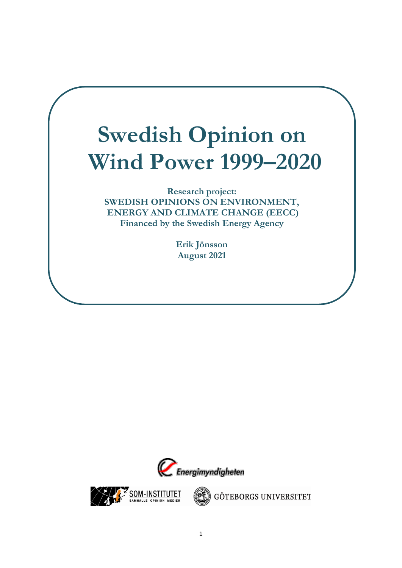# **Swedish Opinion on Wind Power 1999–2020**

**Research project: SWEDISH OPINIONS ON ENVIRONMENT, ENERGY AND CLIMATE CHANGE (EECC) Financed by the Swedish Energy Agency** 

> **Erik Jönsson August 2021**





GÖTEBORGS UNIVERSITET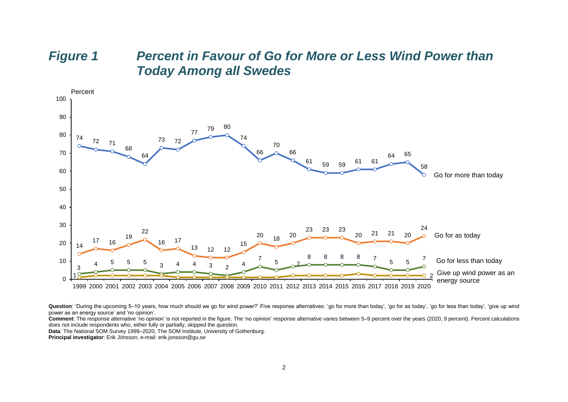#### *Figure 1 Percent in Favour of Go for More or Less Wind Power than Today Among all Swedes*



Question: 'During the upcoming 5–10 years, how much should we go for wind power?' Five response alternatives: 'go for more than today', 'go for as today', 'go for less than today', 'give up wind power as an energy source' and 'no opinion'.

**Comment**: The response alternative 'no opinion' is not reported in the figure. The 'no opinion' response alternative varies between 5–9 percent over the years (2020, 9 percent). Percent calculations does not include respondents who, either fully or partially, skipped the question.

**Data**: The National SOM Survey 1999–2020, The SOM Institute, University of Gothenburg.

**Principal investigator**: Erik Jönsson, e-mail: erik.jonsson@gu.se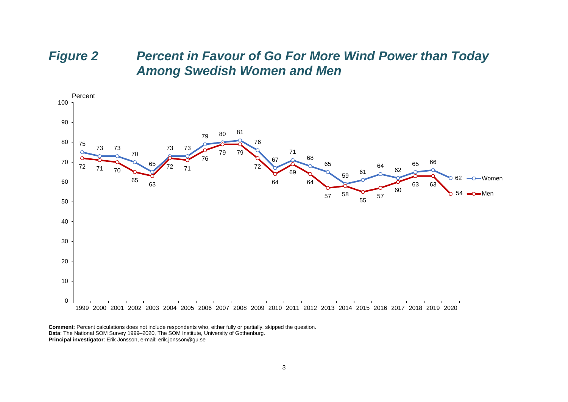# *Figure 2 Percent in Favour of Go For More Wind Power than Today Among Swedish Women and Men*



**Comment**: Percent calculations does not include respondents who, either fully or partially, skipped the question. **Data**: The National SOM Survey 1999–2020, The SOM Institute, University of Gothenburg. **Principal investigator**: Erik Jönsson, e-mail: erik.jonsson@gu.se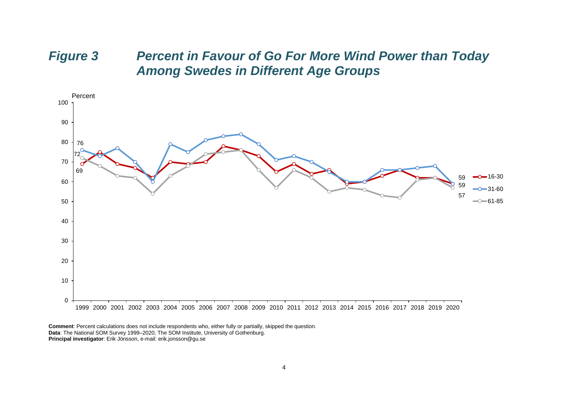# *Figure 3 Percent in Favour of Go For More Wind Power than Today Among Swedes in Different Age Groups*

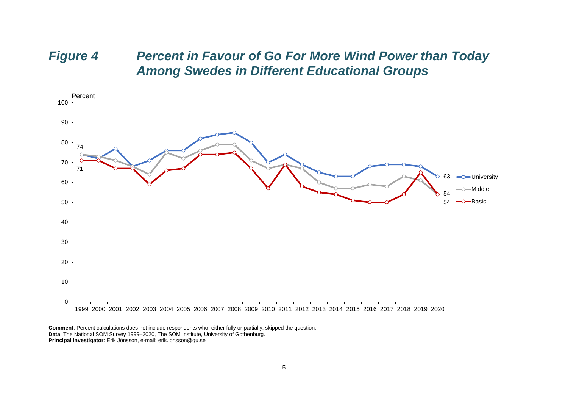# *Figure 4 Percent in Favour of Go For More Wind Power than Today Among Swedes in Different Educational Groups*

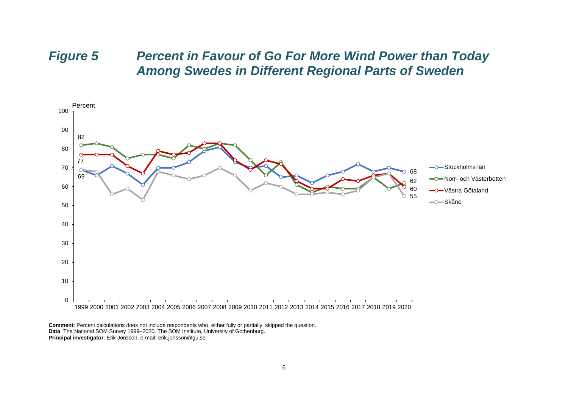### *Figure 5 Percent in Favour of Go For More Wind Power than Today Among Swedes in Different Regional Parts of Sweden*

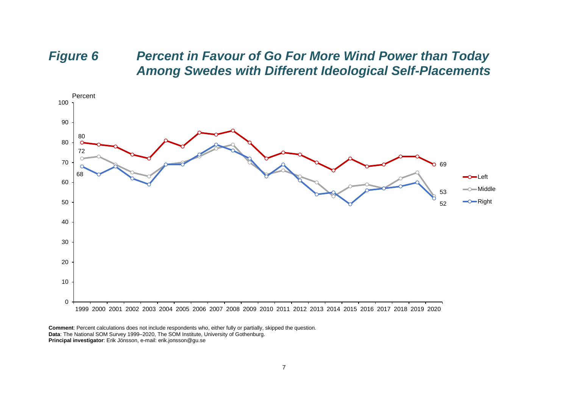# *Figure 6 Percent in Favour of Go For More Wind Power than Today Among Swedes with Different Ideological Self-Placements*

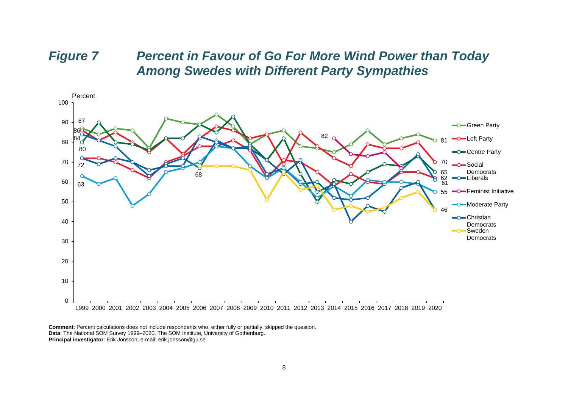### *Figure 7 Percent in Favour of Go For More Wind Power than Today Among Swedes with Different Party Sympathies*

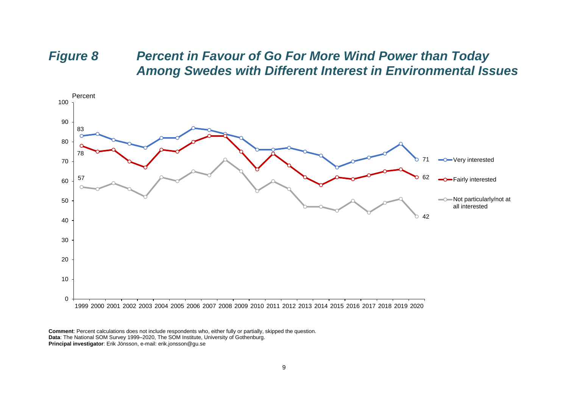# *Figure 8 Percent in Favour of Go For More Wind Power than Today Among Swedes with Different Interest in Environmental Issues*

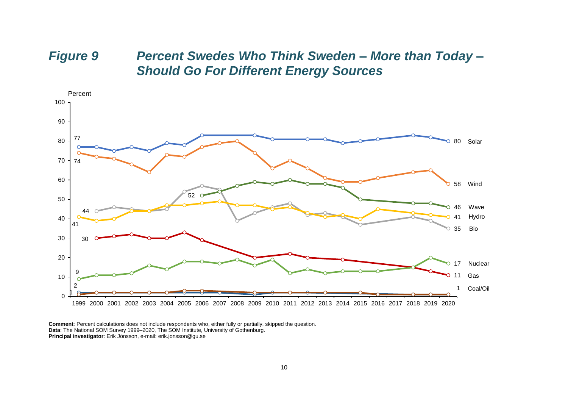# *Figure 9 Percent Swedes Who Think Sweden – More than Today – Should Go For Different Energy Sources*



**Comment**: Percent calculations does not include respondents who, either fully or partially, skipped the question. **Data**: The National SOM Survey 1999–2020, The SOM Institute, University of Gothenburg. **Principal investigator**: Erik Jönsson, e-mail: erik.jonsson@gu.se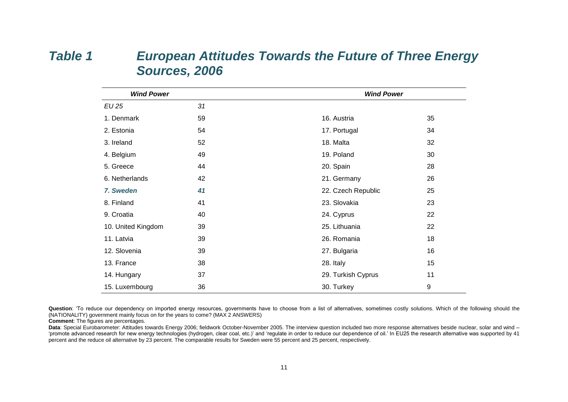# *Table 1 European Attitudes Towards the Future of Three Energy Sources, 2006*

| <b>Wind Power</b>  |    | <b>Wind Power</b>  |    |  |
|--------------------|----|--------------------|----|--|
| <b>EU 25</b>       | 31 |                    |    |  |
| 1. Denmark         | 59 | 16. Austria        | 35 |  |
| 2. Estonia         | 54 | 17. Portugal       | 34 |  |
| 3. Ireland         | 52 | 18. Malta          | 32 |  |
| 4. Belgium         | 49 | 19. Poland         | 30 |  |
| 5. Greece          | 44 | 20. Spain          | 28 |  |
| 6. Netherlands     | 42 | 21. Germany        | 26 |  |
| 7. Sweden          | 41 | 22. Czech Republic | 25 |  |
| 8. Finland         | 41 | 23. Slovakia       | 23 |  |
| 9. Croatia         | 40 | 24. Cyprus         | 22 |  |
| 10. United Kingdom | 39 | 25. Lithuania      | 22 |  |
| 11. Latvia         | 39 | 26. Romania        | 18 |  |
| 12. Slovenia       | 39 | 27. Bulgaria       | 16 |  |
| 13. France         | 38 | 28. Italy          | 15 |  |
| 14. Hungary        | 37 | 29. Turkish Cyprus | 11 |  |
| 15. Luxembourg     | 36 | 30. Turkey         | 9  |  |

Question: 'To reduce our dependency on imported energy resources, governments have to choose from a list of alternatives, sometimes costly solutions. Which of the following should the (NATIONALITY) government mainly focus on for the years to come? (MAX 2 ANSWERS)

**Comment**: The figures are percentages.

Data: Special Eurobarometer: Attitudes towards Energy 2006; fieldwork October-November 2005. The interview question included two more response alternatives beside nuclear, solar and wind -'promote advanced research for new energy technologies (hydrogen, clear coal, etc.)' and 'regulate in order to reduce our dependence of oil.' In EU25 the research alternative was supported by 41 percent and the reduce oil alternative by 23 percent. The comparable results for Sweden were 55 percent and 25 percent, respectively.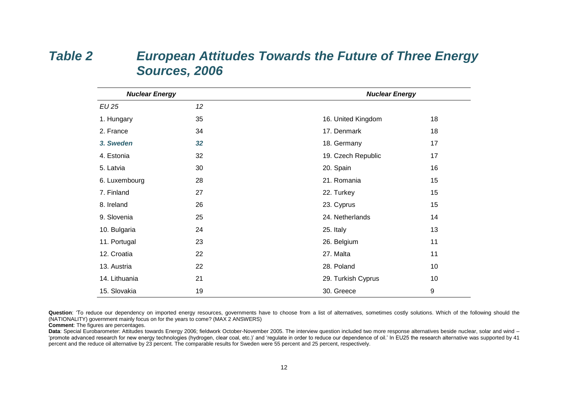# *Table 2 European Attitudes Towards the Future of Three Energy Sources, 2006*

| <b>Nuclear Energy</b> |    | <b>Nuclear Energy</b> |                  |  |
|-----------------------|----|-----------------------|------------------|--|
| <b>EU 25</b>          | 12 |                       |                  |  |
| 1. Hungary            | 35 | 16. United Kingdom    | 18               |  |
| 2. France             | 34 | 17. Denmark           | 18               |  |
| 3. Sweden             | 32 | 18. Germany           | 17               |  |
| 4. Estonia            | 32 | 19. Czech Republic    | 17               |  |
| 5. Latvia             | 30 | 20. Spain             | 16               |  |
| 6. Luxembourg         | 28 | 21. Romania           | 15               |  |
| 7. Finland            | 27 | 22. Turkey            | 15               |  |
| 8. Ireland            | 26 | 23. Cyprus            | 15               |  |
| 9. Slovenia           | 25 | 24. Netherlands       | 14               |  |
| 10. Bulgaria          | 24 | 25. Italy             | 13               |  |
| 11. Portugal          | 23 | 26. Belgium           | 11               |  |
| 12. Croatia           | 22 | 27. Malta             | 11               |  |
| 13. Austria           | 22 | 28. Poland            | 10 <sup>1</sup>  |  |
| 14. Lithuania         | 21 | 29. Turkish Cyprus    | 10               |  |
| 15. Slovakia          | 19 | 30. Greece            | $\boldsymbol{9}$ |  |

**Question**: 'To reduce our dependency on imported energy resources, governments have to choose from a list of alternatives, sometimes costly solutions. Which of the following should the (NATIONALITY) government mainly focus on for the years to come? (MAX 2 ANSWERS)

**Comment**: The figures are percentages.

Data: Special Eurobarometer: Attitudes towards Energy 2006; fieldwork October-November 2005. The interview question included two more response alternatives beside nuclear, solar and wind -'promote advanced research for new energy technologies (hydrogen, clear coal, etc.)' and 'regulate in order to reduce our dependence of oil.' In EU25 the research alternative was supported by 41 percent and the reduce oil alternative by 23 percent. The comparable results for Sweden were 55 percent and 25 percent, respectively.